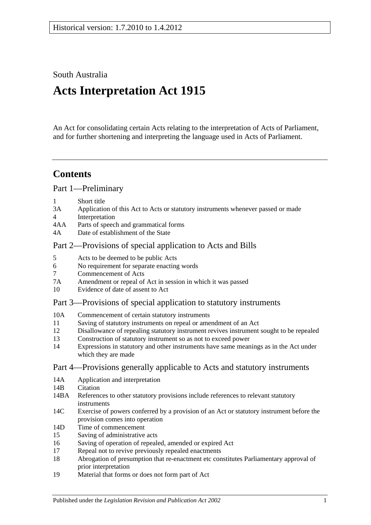South Australia

# **Acts Interpretation Act 1915**

An Act for consolidating certain Acts relating to the interpretation of Acts of Parliament, and for further shortening and interpreting the language used in Acts of Parliament.

## **Contents**

[Part 1—Preliminary](#page-1-0)

- 1 [Short title](#page-1-1)
- 3A [Application of this Act to Acts or statutory instruments whenever passed or made](#page-1-2)
- 4 [Interpretation](#page-2-0)
- 4AA [Parts of speech and grammatical forms](#page-6-0)
- 4A [Date of establishment of the State](#page-6-1)

## [Part 2—Provisions of special application to Acts and Bills](#page-6-2)

- 5 [Acts to be deemed to be public Acts](#page-6-3)
- 6 [No requirement for separate enacting words](#page-6-4)
- 7 [Commencement of Acts](#page-6-5)
- 7A [Amendment or repeal of Act in session in which it was passed](#page-7-0)
- 10 [Evidence of date of assent to Act](#page-7-1)

## [Part 3—Provisions of special application to statutory instruments](#page-7-2)

- 10A [Commencement of certain statutory instruments](#page-7-3)
- 11 [Saving of statutory instruments on repeal or amendment of an Act](#page-8-0)
- 12 [Disallowance of repealing statutory instrument revives instrument sought to](#page-8-1) be repealed
- 13 [Construction of statutory instrument so as not to exceed power](#page-8-2)
- 14 [Expressions in statutory and other instruments have same meanings as in the Act under](#page-8-3)  [which they are made](#page-8-3)

## [Part 4—Provisions generally applicable to Acts and statutory instruments](#page-8-4)

- 14A [Application and interpretation](#page-8-5)
- 14R [Citation](#page-9-0)
- 14BA [References to other statutory provisions include references to relevant statutory](#page-9-1)  [instruments](#page-9-1)
- 14C [Exercise of powers conferred by a provision of an Act or statutory instrument before the](#page-10-0)  [provision comes into operation](#page-10-0)
- 14D [Time of commencement](#page-10-1)
- 15 [Saving of administrative acts](#page-10-2)
- 16 [Saving of operation of repealed, amended or expired Act](#page-10-3)
- 17 [Repeal not to revive previously repealed enactments](#page-11-0)
- 18 [Abrogation of presumption that re-enactment etc constitutes Parliamentary approval of](#page-11-1)  [prior interpretation](#page-11-1)
- 19 [Material that forms or does not form part of Act](#page-11-2)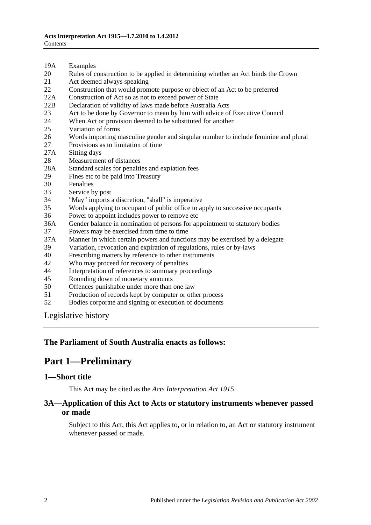- 19A [Examples](#page-12-0)
- 20 [Rules of construction to be applied in determining whether an Act binds the Crown](#page-12-1)
- 21 [Act deemed always speaking](#page-13-0)
- 22 [Construction that would promote purpose or object of an Act to be preferred](#page-13-1)
- 22A [Construction of Act so as not to exceed power of State](#page-13-2)
- 22B [Declaration of validity of laws made before Australia Acts](#page-13-3)
- 23 [Act to be done by Governor to mean by him with advice of Executive Council](#page-13-4)
- 24 [When Act or provision deemed to be substituted for another](#page-13-5)<br>25 Variation of forms
- [Variation of forms](#page-14-0)
- 26 [Words importing masculine gender and singular number to include feminine and plural](#page-14-1)
- 27 [Provisions as to limitation of time](#page-14-2)
- 27A [Sitting days](#page-14-3)
- 28 [Measurement of distances](#page-14-4)
- 28A [Standard scales for penalties and expiation fees](#page-15-0)
- 29 [Fines etc to be paid into Treasury](#page-15-1)
- 30 [Penalties](#page-16-0)<br>33 Service b
- [Service by post](#page-16-1)
- 34 ["May" imports a discretion, "shall" is imperative](#page-16-2)
- 35 [Words applying to occupant of public office to apply to successive occupants](#page-16-3)
- 36 [Power to appoint includes power to remove etc](#page-16-4)
- 36A [Gender balance in nomination of persons for appointment to statutory bodies](#page-17-0)
- 37 [Powers may be exercised from time to time](#page-17-1)
- 37A [Manner in which certain powers and functions may be exercised by a delegate](#page-18-0)
- 39 [Variation, revocation and expiration of regulations, rules or by-laws](#page-18-1)
- 40 [Prescribing matters by reference to other instruments](#page-18-2)
- 42 [Who may proceed for recovery of penalties](#page-18-3)
- 44 [Interpretation of references to summary proceedings](#page-18-4)
- 45 [Rounding down of monetary amounts](#page-19-0)
- 50 [Offences punishable under more than one law](#page-19-1)
- 51 [Production of records kept by computer or other process](#page-19-2)
- 52 [Bodies corporate and signing or execution of documents](#page-19-3)

[Legislative history](#page-20-0)

#### <span id="page-1-0"></span>**The Parliament of South Australia enacts as follows:**

## **Part 1—Preliminary**

#### <span id="page-1-1"></span>**1—Short title**

This Act may be cited as the *Acts Interpretation Act 1915*.

#### <span id="page-1-2"></span>**3A—Application of this Act to Acts or statutory instruments whenever passed or made**

Subject to this Act, this Act applies to, or in relation to, an Act or statutory instrument whenever passed or made.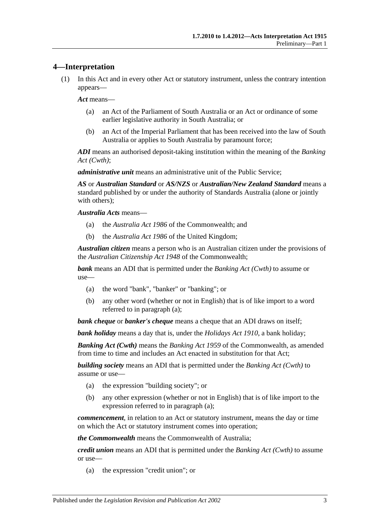## <span id="page-2-0"></span>**4—Interpretation**

(1) In this Act and in every other Act or statutory instrument, unless the contrary intention appears—

*Act* means—

- (a) an Act of the Parliament of South Australia or an Act or ordinance of some earlier legislative authority in South Australia; or
- (b) an Act of the Imperial Parliament that has been received into the law of South Australia or applies to South Australia by paramount force;

*ADI* means an authorised deposit-taking institution within the meaning of the *Banking Act (Cwth)*;

*administrative unit* means an administrative unit of the Public Service;

*AS* or *Australian Standard* or *AS/NZS* or *Australian/New Zealand Standard* means a standard published by or under the authority of Standards Australia (alone or jointly with others);

*Australia Acts* means—

- (a) the *Australia Act 1986* of the Commonwealth; and
- (b) the *Australia Act 1986* of the United Kingdom;

*Australian citizen* means a person who is an Australian citizen under the provisions of the *Australian Citizenship Act 1948* of the Commonwealth;

<span id="page-2-1"></span>*bank* means an ADI that is permitted under the *Banking Act (Cwth)* to assume or use—

- (a) the word "bank", "banker" or "banking"; or
- (b) any other word (whether or not in English) that is of like import to a word referred to in [paragraph](#page-2-1) (a);

*bank cheque* or *banker's cheque* means a cheque that an ADI draws on itself;

*bank holiday* means a day that is, under the *[Holidays Act](http://www.legislation.sa.gov.au/index.aspx?action=legref&type=act&legtitle=Holidays%20Act%201910) 1910*, a bank holiday;

*Banking Act (Cwth)* means the *Banking Act 1959* of the Commonwealth, as amended from time to time and includes an Act enacted in substitution for that Act;

<span id="page-2-2"></span>*building society* means an ADI that is permitted under the *Banking Act (Cwth)* to assume or use—

- (a) the expression "building society"; or
- (b) any other expression (whether or not in English) that is of like import to the expression referred to in [paragraph](#page-2-2) (a);

*commencement*, in relation to an Act or statutory instrument, means the day or time on which the Act or statutory instrument comes into operation;

*the Commonwealth* means the Commonwealth of Australia;

<span id="page-2-3"></span>*credit union* means an ADI that is permitted under the *Banking Act (Cwth)* to assume or use—

(a) the expression "credit union"; or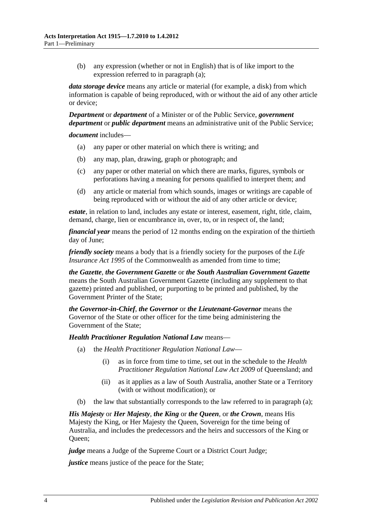(b) any expression (whether or not in English) that is of like import to the expression referred to in [paragraph](#page-2-3) (a);

*data storage device* means any article or material (for example, a disk) from which information is capable of being reproduced, with or without the aid of any other article or device;

*Department* or *department* of a Minister or of the Public Service, *government department* or *public department* means an administrative unit of the Public Service;

*document* includes—

- (a) any paper or other material on which there is writing; and
- (b) any map, plan, drawing, graph or photograph; and
- (c) any paper or other material on which there are marks, figures, symbols or perforations having a meaning for persons qualified to interpret them; and
- (d) any article or material from which sounds, images or writings are capable of being reproduced with or without the aid of any other article or device;

*estate*, in relation to land, includes any estate or interest, easement, right, title, claim, demand, charge, lien or encumbrance in, over, to, or in respect of, the land;

*financial year* means the period of 12 months ending on the expiration of the thirtieth day of June;

*friendly society* means a body that is a friendly society for the purposes of the *Life Insurance Act* 1995 of the Commonwealth as amended from time to time:

*the Gazette*, *the Government Gazette* or *the South Australian Government Gazette* means the South Australian Government Gazette (including any supplement to that gazette) printed and published, or purporting to be printed and published, by the Government Printer of the State;

*the Governor-in-Chief*, *the Governor* or *the Lieutenant-Governor* means the Governor of the State or other officer for the time being administering the Government of the State;

<span id="page-3-0"></span>*Health Practitioner Regulation National Law* means—

- (a) the *Health Practitioner Regulation National Law*
	- (i) as in force from time to time, set out in the schedule to the *Health Practitioner Regulation National Law Act 2009* of Queensland; and
	- (ii) as it applies as a law of South Australia, another State or a Territory (with or without modification); or
- (b) the law that substantially corresponds to the law referred to in [paragraph](#page-3-0) (a);

*His Majesty* or *Her Majesty*, *the King* or *the Queen*, or *the Crown*, means His Majesty the King, or Her Majesty the Queen, Sovereign for the time being of Australia, and includes the predecessors and the heirs and successors of the King or Queen;

*judge* means a Judge of the Supreme Court or a District Court Judge;

*justice* means justice of the peace for the State;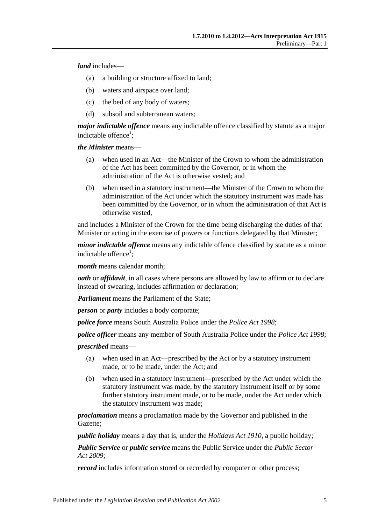*land* includes—

- (a) a building or structure affixed to land;
- (b) waters and airspace over land;
- (c) the bed of any body of waters;
- (d) subsoil and subterranean waters;

*major indictable offence* means any indictable offence classified by statute as a major indictable offence<sup>1</sup>;

*the Minister* means—

- (a) when used in an Act—the Minister of the Crown to whom the administration of the Act has been committed by the Governor, or in whom the administration of the Act is otherwise vested; and
- (b) when used in a statutory instrument—the Minister of the Crown to whom the administration of the Act under which the statutory instrument was made has been committed by the Governor, or in whom the administration of that Act is otherwise vested,

and includes a Minister of the Crown for the time being discharging the duties of that Minister or acting in the exercise of powers or functions delegated by that Minister;

*minor indictable offence* means any indictable offence classified by statute as a minor indictable offence<sup>1</sup>;

*month* means calendar month;

*oath* or *affidavit*, in all cases where persons are allowed by law to affirm or to declare instead of swearing, includes affirmation or declaration;

*Parliament* means the Parliament of the State;

*person* or *party* includes a body corporate;

*police force* means South Australia Police under the *[Police Act](http://www.legislation.sa.gov.au/index.aspx?action=legref&type=act&legtitle=Police%20Act%201998) 1998*;

*police officer* means any member of South Australia Police under the *[Police Act](http://www.legislation.sa.gov.au/index.aspx?action=legref&type=act&legtitle=Police%20Act%201998) 1998*;

*prescribed* means—

- (a) when used in an Act—prescribed by the Act or by a statutory instrument made, or to be made, under the Act; and
- (b) when used in a statutory instrument—prescribed by the Act under which the statutory instrument was made, by the statutory instrument itself or by some further statutory instrument made, or to be made, under the Act under which the statutory instrument was made;

*proclamation* means a proclamation made by the Governor and published in the Gazette;

*public holiday* means a day that is, under the *[Holidays Act](http://www.legislation.sa.gov.au/index.aspx?action=legref&type=act&legtitle=Holidays%20Act%201910) 1910*, a public holiday;

*Public Service* or *public service* means the Public Service under the *[Public Sector](http://www.legislation.sa.gov.au/index.aspx?action=legref&type=act&legtitle=Public%20Sector%20Act%202009)  Act [2009](http://www.legislation.sa.gov.au/index.aspx?action=legref&type=act&legtitle=Public%20Sector%20Act%202009)*;

*record* includes information stored or recorded by computer or other process;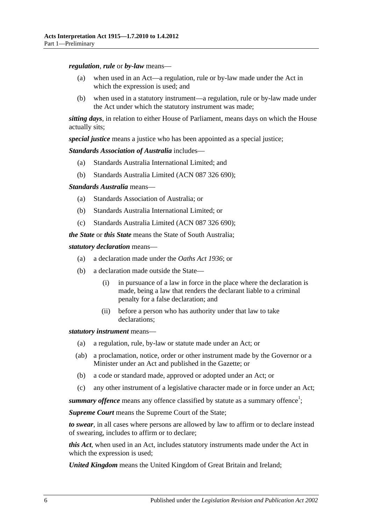*regulation*, *rule* or *by-law* means—

- (a) when used in an Act—a regulation, rule or by-law made under the Act in which the expression is used; and
- (b) when used in a statutory instrument—a regulation, rule or by-law made under the Act under which the statutory instrument was made;

*sitting days*, in relation to either House of Parliament, means days on which the House actually sits;

*special justice* means a justice who has been appointed as a special justice;

*Standards Association of Australia* includes—

- (a) Standards Australia International Limited; and
- (b) Standards Australia Limited (ACN 087 326 690);

*Standards Australia* means—

- (a) Standards Association of Australia; or
- (b) Standards Australia International Limited; or
- (c) Standards Australia Limited (ACN 087 326 690);

*the State* or *this State* means the State of South Australia;

*statutory declaration* means—

- (a) a declaration made under the *[Oaths Act](http://www.legislation.sa.gov.au/index.aspx?action=legref&type=act&legtitle=Oaths%20Act%201936) 1936*; or
- (b) a declaration made outside the State—
	- (i) in pursuance of a law in force in the place where the declaration is made, being a law that renders the declarant liable to a criminal penalty for a false declaration; and
	- (ii) before a person who has authority under that law to take declarations;

*statutory instrument* means—

- (a) a regulation, rule, by-law or statute made under an Act; or
- (ab) a proclamation, notice, order or other instrument made by the Governor or a Minister under an Act and published in the Gazette; or
- (b) a code or standard made, approved or adopted under an Act; or
- (c) any other instrument of a legislative character made or in force under an Act;

summary offence means any offence classified by statute as a summary offence<sup>1</sup>;

*Supreme Court* means the Supreme Court of the State;

*to swear*, in all cases where persons are allowed by law to affirm or to declare instead of swearing, includes to affirm or to declare;

*this Act*, when used in an Act, includes statutory instruments made under the Act in which the expression is used;

*United Kingdom* means the United Kingdom of Great Britain and Ireland;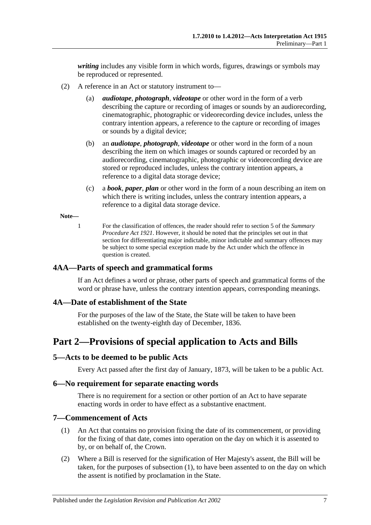*writing* includes any visible form in which words, figures, drawings or symbols may be reproduced or represented.

- (2) A reference in an Act or statutory instrument to—
	- (a) *audiotape*, *photograph*, *videotape* or other word in the form of a verb describing the capture or recording of images or sounds by an audiorecording, cinematographic, photographic or videorecording device includes, unless the contrary intention appears, a reference to the capture or recording of images or sounds by a digital device;
	- (b) an *audiotape*, *photograph*, *videotape* or other word in the form of a noun describing the item on which images or sounds captured or recorded by an audiorecording, cinematographic, photographic or videorecording device are stored or reproduced includes, unless the contrary intention appears, a reference to a digital data storage device;
	- (c) a *book*, *paper*, *plan* or other word in the form of a noun describing an item on which there is writing includes, unless the contrary intention appears, a reference to a digital data storage device.

#### **Note—**

1 For the classification of offences, the reader should refer to section 5 of the *[Summary](http://www.legislation.sa.gov.au/index.aspx?action=legref&type=act&legtitle=Summary%20Procedure%20Act%201921)  [Procedure Act](http://www.legislation.sa.gov.au/index.aspx?action=legref&type=act&legtitle=Summary%20Procedure%20Act%201921) 1921*. However, it should be noted that the principles set out in that section for differentiating major indictable, minor indictable and summary offences may be subject to some special exception made by the Act under which the offence in question is created.

#### <span id="page-6-0"></span>**4AA—Parts of speech and grammatical forms**

If an Act defines a word or phrase, other parts of speech and grammatical forms of the word or phrase have, unless the contrary intention appears, corresponding meanings.

#### <span id="page-6-1"></span>**4A—Date of establishment of the State**

For the purposes of the law of the State, the State will be taken to have been established on the twenty-eighth day of December, 1836.

## <span id="page-6-2"></span>**Part 2—Provisions of special application to Acts and Bills**

#### <span id="page-6-3"></span>**5—Acts to be deemed to be public Acts**

Every Act passed after the first day of January, 1873, will be taken to be a public Act.

#### <span id="page-6-4"></span>**6—No requirement for separate enacting words**

There is no requirement for a section or other portion of an Act to have separate enacting words in order to have effect as a substantive enactment.

#### <span id="page-6-6"></span><span id="page-6-5"></span>**7—Commencement of Acts**

- (1) An Act that contains no provision fixing the date of its commencement, or providing for the fixing of that date, comes into operation on the day on which it is assented to by, or on behalf of, the Crown.
- (2) Where a Bill is reserved for the signification of Her Majesty's assent, the Bill will be taken, for the purposes of [subsection](#page-6-6) (1), to have been assented to on the day on which the assent is notified by proclamation in the State.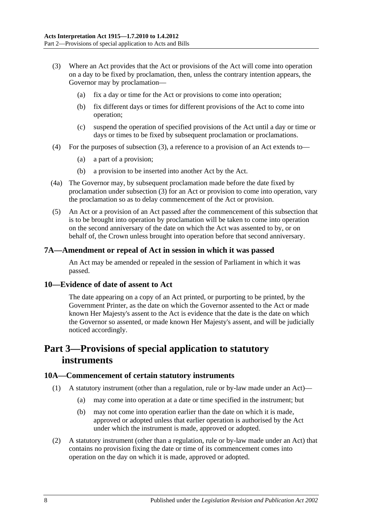- <span id="page-7-4"></span>(3) Where an Act provides that the Act or provisions of the Act will come into operation on a day to be fixed by proclamation, then, unless the contrary intention appears, the Governor may by proclamation—
	- (a) fix a day or time for the Act or provisions to come into operation;
	- (b) fix different days or times for different provisions of the Act to come into operation;
	- (c) suspend the operation of specified provisions of the Act until a day or time or days or times to be fixed by subsequent proclamation or proclamations.
- (4) For the purposes of [subsection](#page-7-4) (3), a reference to a provision of an Act extends to—
	- (a) a part of a provision;
	- (b) a provision to be inserted into another Act by the Act.
- (4a) The Governor may, by subsequent proclamation made before the date fixed by proclamation under [subsection](#page-7-4) (3) for an Act or provision to come into operation, vary the proclamation so as to delay commencement of the Act or provision.
- (5) An Act or a provision of an Act passed after the commencement of this subsection that is to be brought into operation by proclamation will be taken to come into operation on the second anniversary of the date on which the Act was assented to by, or on behalf of, the Crown unless brought into operation before that second anniversary.

#### <span id="page-7-0"></span>**7A—Amendment or repeal of Act in session in which it was passed**

An Act may be amended or repealed in the session of Parliament in which it was passed.

#### <span id="page-7-1"></span>**10—Evidence of date of assent to Act**

The date appearing on a copy of an Act printed, or purporting to be printed, by the Government Printer, as the date on which the Governor assented to the Act or made known Her Majesty's assent to the Act is evidence that the date is the date on which the Governor so assented, or made known Her Majesty's assent, and will be judicially noticed accordingly.

## <span id="page-7-2"></span>**Part 3—Provisions of special application to statutory instruments**

#### <span id="page-7-3"></span>**10A—Commencement of certain statutory instruments**

- (1) A statutory instrument (other than a regulation, rule or by-law made under an Act)—
	- (a) may come into operation at a date or time specified in the instrument; but
	- (b) may not come into operation earlier than the date on which it is made, approved or adopted unless that earlier operation is authorised by the Act under which the instrument is made, approved or adopted.
- (2) A statutory instrument (other than a regulation, rule or by-law made under an Act) that contains no provision fixing the date or time of its commencement comes into operation on the day on which it is made, approved or adopted.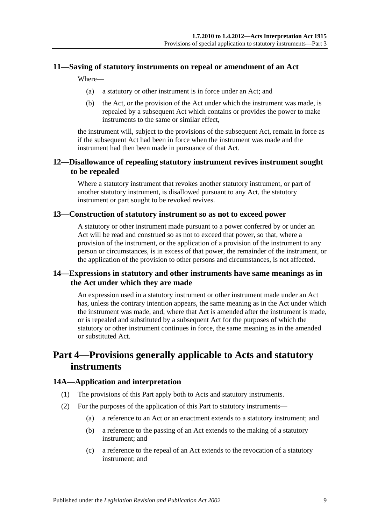#### <span id="page-8-0"></span>**11—Saving of statutory instruments on repeal or amendment of an Act**

Where—

- (a) a statutory or other instrument is in force under an Act; and
- (b) the Act, or the provision of the Act under which the instrument was made, is repealed by a subsequent Act which contains or provides the power to make instruments to the same or similar effect,

the instrument will, subject to the provisions of the subsequent Act, remain in force as if the subsequent Act had been in force when the instrument was made and the instrument had then been made in pursuance of that Act.

## <span id="page-8-1"></span>**12—Disallowance of repealing statutory instrument revives instrument sought to be repealed**

Where a statutory instrument that revokes another statutory instrument, or part of another statutory instrument, is disallowed pursuant to any Act, the statutory instrument or part sought to be revoked revives.

#### <span id="page-8-2"></span>**13—Construction of statutory instrument so as not to exceed power**

A statutory or other instrument made pursuant to a power conferred by or under an Act will be read and construed so as not to exceed that power, so that, where a provision of the instrument, or the application of a provision of the instrument to any person or circumstances, is in excess of that power, the remainder of the instrument, or the application of the provision to other persons and circumstances, is not affected.

## <span id="page-8-3"></span>**14—Expressions in statutory and other instruments have same meanings as in the Act under which they are made**

An expression used in a statutory instrument or other instrument made under an Act has, unless the contrary intention appears, the same meaning as in the Act under which the instrument was made, and, where that Act is amended after the instrument is made, or is repealed and substituted by a subsequent Act for the purposes of which the statutory or other instrument continues in force, the same meaning as in the amended or substituted Act.

## <span id="page-8-4"></span>**Part 4—Provisions generally applicable to Acts and statutory instruments**

## <span id="page-8-5"></span>**14A—Application and interpretation**

- (1) The provisions of this Part apply both to Acts and statutory instruments.
- (2) For the purposes of the application of this Part to statutory instruments—
	- (a) a reference to an Act or an enactment extends to a statutory instrument; and
	- (b) a reference to the passing of an Act extends to the making of a statutory instrument; and
	- (c) a reference to the repeal of an Act extends to the revocation of a statutory instrument; and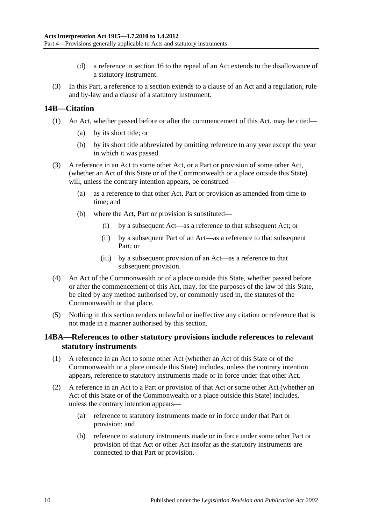- (d) a reference in [section](#page-10-3) 16 to the repeal of an Act extends to the disallowance of a statutory instrument.
- (3) In this Part, a reference to a section extends to a clause of an Act and a regulation, rule and by-law and a clause of a statutory instrument.

#### <span id="page-9-0"></span>**14B—Citation**

- (1) An Act, whether passed before or after the commencement of this Act, may be cited—
	- (a) by its short title; or
	- (b) by its short title abbreviated by omitting reference to any year except the year in which it was passed.
- (3) A reference in an Act to some other Act, or a Part or provision of some other Act, (whether an Act of this State or of the Commonwealth or a place outside this State) will, unless the contrary intention appears, be construed—
	- (a) as a reference to that other Act, Part or provision as amended from time to time; and
	- (b) where the Act, Part or provision is substituted—
		- (i) by a subsequent Act—as a reference to that subsequent Act; or
		- (ii) by a subsequent Part of an Act—as a reference to that subsequent Part; or
		- (iii) by a subsequent provision of an Act—as a reference to that subsequent provision.
- (4) An Act of the Commonwealth or of a place outside this State, whether passed before or after the commencement of this Act, may, for the purposes of the law of this State, be cited by any method authorised by, or commonly used in, the statutes of the Commonwealth or that place.
- (5) Nothing in this section renders unlawful or ineffective any citation or reference that is not made in a manner authorised by this section.

#### <span id="page-9-1"></span>**14BA—References to other statutory provisions include references to relevant statutory instruments**

- (1) A reference in an Act to some other Act (whether an Act of this State or of the Commonwealth or a place outside this State) includes, unless the contrary intention appears, reference to statutory instruments made or in force under that other Act.
- (2) A reference in an Act to a Part or provision of that Act or some other Act (whether an Act of this State or of the Commonwealth or a place outside this State) includes, unless the contrary intention appears—
	- (a) reference to statutory instruments made or in force under that Part or provision; and
	- (b) reference to statutory instruments made or in force under some other Part or provision of that Act or other Act insofar as the statutory instruments are connected to that Part or provision.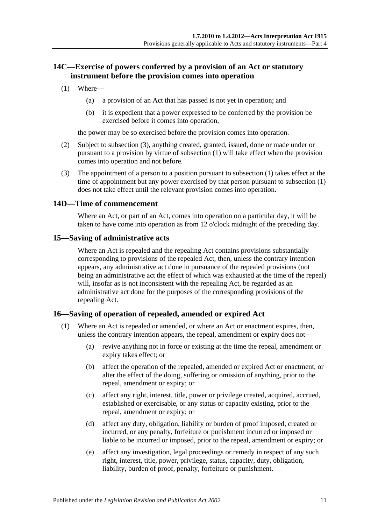## <span id="page-10-0"></span>**14C—Exercise of powers conferred by a provision of an Act or statutory instrument before the provision comes into operation**

- <span id="page-10-5"></span>(1) Where—
	- (a) a provision of an Act that has passed is not yet in operation; and
	- (b) it is expedient that a power expressed to be conferred by the provision be exercised before it comes into operation,

the power may be so exercised before the provision comes into operation.

- (2) Subject to [subsection](#page-10-4) (3), anything created, granted, issued, done or made under or pursuant to a provision by virtue of [subsection](#page-10-5) (1) will take effect when the provision comes into operation and not before.
- <span id="page-10-4"></span>(3) The appointment of a person to a position pursuant to [subsection](#page-10-5) (1) takes effect at the time of appointment but any power exercised by that person pursuant to [subsection](#page-10-5) (1) does not take effect until the relevant provision comes into operation.

#### <span id="page-10-1"></span>**14D—Time of commencement**

Where an Act, or part of an Act, comes into operation on a particular day, it will be taken to have come into operation as from 12 o'clock midnight of the preceding day.

#### <span id="page-10-2"></span>**15—Saving of administrative acts**

Where an Act is repealed and the repealing Act contains provisions substantially corresponding to provisions of the repealed Act, then, unless the contrary intention appears, any administrative act done in pursuance of the repealed provisions (not being an administrative act the effect of which was exhausted at the time of the repeal) will, insofar as is not inconsistent with the repealing Act, be regarded as an administrative act done for the purposes of the corresponding provisions of the repealing Act.

#### <span id="page-10-3"></span>**16—Saving of operation of repealed, amended or expired Act**

- (1) Where an Act is repealed or amended, or where an Act or enactment expires, then, unless the contrary intention appears, the repeal, amendment or expiry does not—
	- (a) revive anything not in force or existing at the time the repeal, amendment or expiry takes effect; or
	- (b) affect the operation of the repealed, amended or expired Act or enactment, or alter the effect of the doing, suffering or omission of anything, prior to the repeal, amendment or expiry; or
	- (c) affect any right, interest, title, power or privilege created, acquired, accrued, established or exercisable, or any status or capacity existing, prior to the repeal, amendment or expiry; or
	- (d) affect any duty, obligation, liability or burden of proof imposed, created or incurred, or any penalty, forfeiture or punishment incurred or imposed or liable to be incurred or imposed, prior to the repeal, amendment or expiry; or
	- (e) affect any investigation, legal proceedings or remedy in respect of any such right, interest, title, power, privilege, status, capacity, duty, obligation, liability, burden of proof, penalty, forfeiture or punishment.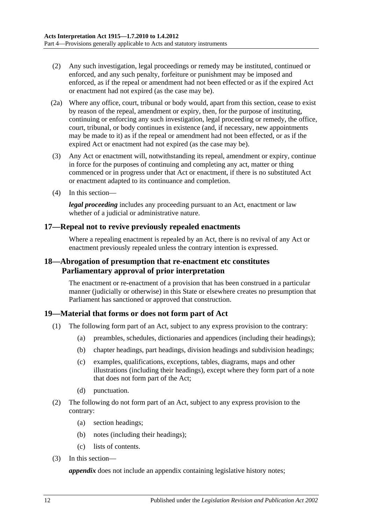- (2) Any such investigation, legal proceedings or remedy may be instituted, continued or enforced, and any such penalty, forfeiture or punishment may be imposed and enforced, as if the repeal or amendment had not been effected or as if the expired Act or enactment had not expired (as the case may be).
- (2a) Where any office, court, tribunal or body would, apart from this section, cease to exist by reason of the repeal, amendment or expiry, then, for the purpose of instituting, continuing or enforcing any such investigation, legal proceeding or remedy, the office, court, tribunal, or body continues in existence (and, if necessary, new appointments may be made to it) as if the repeal or amendment had not been effected, or as if the expired Act or enactment had not expired (as the case may be).
- (3) Any Act or enactment will, notwithstanding its repeal, amendment or expiry, continue in force for the purposes of continuing and completing any act, matter or thing commenced or in progress under that Act or enactment, if there is no substituted Act or enactment adapted to its continuance and completion.
- (4) In this section—

*legal proceeding* includes any proceeding pursuant to an Act, enactment or law whether of a judicial or administrative nature.

#### <span id="page-11-0"></span>**17—Repeal not to revive previously repealed enactments**

Where a repealing enactment is repealed by an Act, there is no revival of any Act or enactment previously repealed unless the contrary intention is expressed.

### <span id="page-11-1"></span>**18—Abrogation of presumption that re-enactment etc constitutes Parliamentary approval of prior interpretation**

The enactment or re-enactment of a provision that has been construed in a particular manner (judicially or otherwise) in this State or elsewhere creates no presumption that Parliament has sanctioned or approved that construction.

#### <span id="page-11-2"></span>**19—Material that forms or does not form part of Act**

- (1) The following form part of an Act, subject to any express provision to the contrary:
	- (a) preambles, schedules, dictionaries and appendices (including their headings);
	- (b) chapter headings, part headings, division headings and subdivision headings;
	- (c) examples, qualifications, exceptions, tables, diagrams, maps and other illustrations (including their headings), except where they form part of a note that does not form part of the Act;
	- (d) punctuation.
- (2) The following do not form part of an Act, subject to any express provision to the contrary:
	- (a) section headings;
	- (b) notes (including their headings);
	- (c) lists of contents.
- (3) In this section—

*appendix* does not include an appendix containing legislative history notes;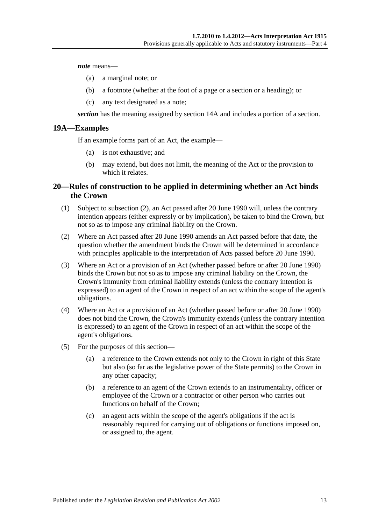*note* means—

- (a) a marginal note; or
- (b) a footnote (whether at the foot of a page or a section or a heading); or
- (c) any text designated as a note;

*section* has the meaning assigned by [section](#page-8-5) 14A and includes a portion of a section.

#### <span id="page-12-0"></span>**19A—Examples**

If an example forms part of an Act, the example—

- (a) is not exhaustive; and
- (b) may extend, but does not limit, the meaning of the Act or the provision to which it relates.

### <span id="page-12-1"></span>**20—Rules of construction to be applied in determining whether an Act binds the Crown**

- (1) Subject to [subsection](#page-12-2) (2), an Act passed after 20 June 1990 will, unless the contrary intention appears (either expressly or by implication), be taken to bind the Crown, but not so as to impose any criminal liability on the Crown.
- <span id="page-12-2"></span>(2) Where an Act passed after 20 June 1990 amends an Act passed before that date, the question whether the amendment binds the Crown will be determined in accordance with principles applicable to the interpretation of Acts passed before 20 June 1990.
- (3) Where an Act or a provision of an Act (whether passed before or after 20 June 1990) binds the Crown but not so as to impose any criminal liability on the Crown, the Crown's immunity from criminal liability extends (unless the contrary intention is expressed) to an agent of the Crown in respect of an act within the scope of the agent's obligations.
- (4) Where an Act or a provision of an Act (whether passed before or after 20 June 1990) does not bind the Crown, the Crown's immunity extends (unless the contrary intention is expressed) to an agent of the Crown in respect of an act within the scope of the agent's obligations.
- (5) For the purposes of this section—
	- (a) a reference to the Crown extends not only to the Crown in right of this State but also (so far as the legislative power of the State permits) to the Crown in any other capacity;
	- (b) a reference to an agent of the Crown extends to an instrumentality, officer or employee of the Crown or a contractor or other person who carries out functions on behalf of the Crown;
	- (c) an agent acts within the scope of the agent's obligations if the act is reasonably required for carrying out of obligations or functions imposed on, or assigned to, the agent.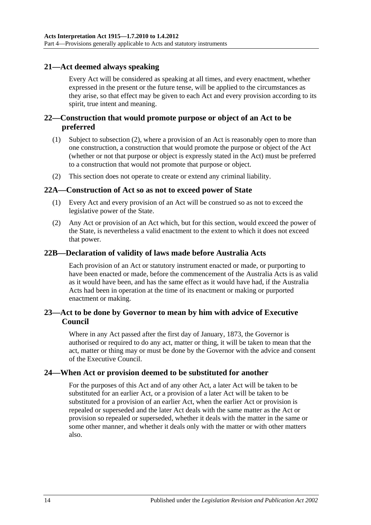## <span id="page-13-0"></span>**21—Act deemed always speaking**

Every Act will be considered as speaking at all times, and every enactment, whether expressed in the present or the future tense, will be applied to the circumstances as they arise, so that effect may be given to each Act and every provision according to its spirit, true intent and meaning.

## <span id="page-13-1"></span>**22—Construction that would promote purpose or object of an Act to be preferred**

- (1) Subject to [subsection](#page-13-6) (2), where a provision of an Act is reasonably open to more than one construction, a construction that would promote the purpose or object of the Act (whether or not that purpose or object is expressly stated in the Act) must be preferred to a construction that would not promote that purpose or object.
- <span id="page-13-6"></span>(2) This section does not operate to create or extend any criminal liability.

#### <span id="page-13-2"></span>**22A—Construction of Act so as not to exceed power of State**

- (1) Every Act and every provision of an Act will be construed so as not to exceed the legislative power of the State.
- (2) Any Act or provision of an Act which, but for this section, would exceed the power of the State, is nevertheless a valid enactment to the extent to which it does not exceed that power.

#### <span id="page-13-3"></span>**22B—Declaration of validity of laws made before Australia Acts**

Each provision of an Act or statutory instrument enacted or made, or purporting to have been enacted or made, before the commencement of the Australia Acts is as valid as it would have been, and has the same effect as it would have had, if the Australia Acts had been in operation at the time of its enactment or making or purported enactment or making.

## <span id="page-13-4"></span>**23—Act to be done by Governor to mean by him with advice of Executive Council**

Where in any Act passed after the first day of January, 1873, the Governor is authorised or required to do any act, matter or thing, it will be taken to mean that the act, matter or thing may or must be done by the Governor with the advice and consent of the Executive Council.

#### <span id="page-13-5"></span>**24—When Act or provision deemed to be substituted for another**

For the purposes of this Act and of any other Act, a later Act will be taken to be substituted for an earlier Act, or a provision of a later Act will be taken to be substituted for a provision of an earlier Act, when the earlier Act or provision is repealed or superseded and the later Act deals with the same matter as the Act or provision so repealed or superseded, whether it deals with the matter in the same or some other manner, and whether it deals only with the matter or with other matters also.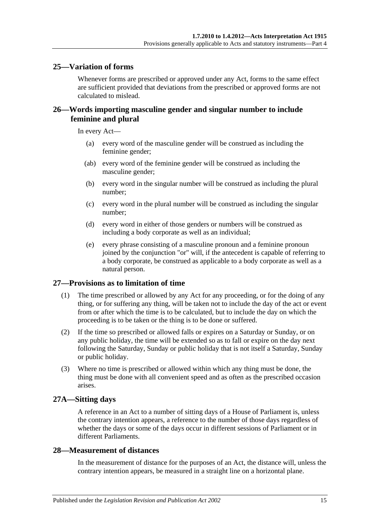### <span id="page-14-0"></span>**25—Variation of forms**

Whenever forms are prescribed or approved under any Act, forms to the same effect are sufficient provided that deviations from the prescribed or approved forms are not calculated to mislead.

## <span id="page-14-1"></span>**26—Words importing masculine gender and singular number to include feminine and plural**

In every Act—

- (a) every word of the masculine gender will be construed as including the feminine gender;
- (ab) every word of the feminine gender will be construed as including the masculine gender;
- (b) every word in the singular number will be construed as including the plural number;
- (c) every word in the plural number will be construed as including the singular number;
- (d) every word in either of those genders or numbers will be construed as including a body corporate as well as an individual;
- (e) every phrase consisting of a masculine pronoun and a feminine pronoun joined by the conjunction "or" will, if the antecedent is capable of referring to a body corporate, be construed as applicable to a body corporate as well as a natural person.

#### <span id="page-14-2"></span>**27—Provisions as to limitation of time**

- (1) The time prescribed or allowed by any Act for any proceeding, or for the doing of any thing, or for suffering any thing, will be taken not to include the day of the act or event from or after which the time is to be calculated, but to include the day on which the proceeding is to be taken or the thing is to be done or suffered.
- (2) If the time so prescribed or allowed falls or expires on a Saturday or Sunday, or on any public holiday, the time will be extended so as to fall or expire on the day next following the Saturday, Sunday or public holiday that is not itself a Saturday, Sunday or public holiday.
- (3) Where no time is prescribed or allowed within which any thing must be done, the thing must be done with all convenient speed and as often as the prescribed occasion arises.

#### <span id="page-14-3"></span>**27A—Sitting days**

A reference in an Act to a number of sitting days of a House of Parliament is, unless the contrary intention appears, a reference to the number of those days regardless of whether the days or some of the days occur in different sessions of Parliament or in different Parliaments.

#### <span id="page-14-4"></span>**28—Measurement of distances**

In the measurement of distance for the purposes of an Act, the distance will, unless the contrary intention appears, be measured in a straight line on a horizontal plane.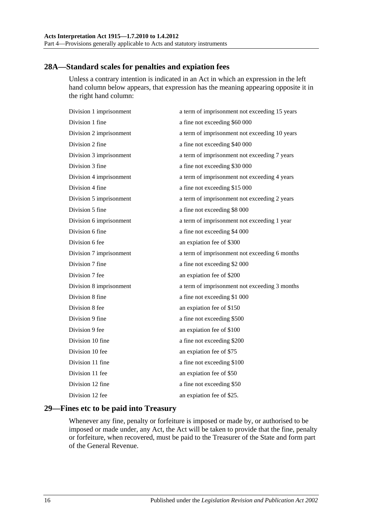## <span id="page-15-0"></span>**28A—Standard scales for penalties and expiation fees**

Unless a contrary intention is indicated in an Act in which an expression in the left hand column below appears, that expression has the meaning appearing opposite it in the right hand column:

| Division 1 imprisonment | a term of imprisonment not exceeding 15 years |
|-------------------------|-----------------------------------------------|
| Division 1 fine         | a fine not exceeding \$60 000                 |
| Division 2 imprisonment | a term of imprisonment not exceeding 10 years |
| Division 2 fine         | a fine not exceeding \$40 000                 |
| Division 3 imprisonment | a term of imprisonment not exceeding 7 years  |
| Division 3 fine         | a fine not exceeding \$30 000                 |
| Division 4 imprisonment | a term of imprisonment not exceeding 4 years  |
| Division 4 fine         | a fine not exceeding \$15 000                 |
| Division 5 imprisonment | a term of imprisonment not exceeding 2 years  |
| Division 5 fine         | a fine not exceeding \$8 000                  |
| Division 6 imprisonment | a term of imprisonment not exceeding 1 year   |
| Division 6 fine         | a fine not exceeding \$4 000                  |
| Division 6 fee          | an expiation fee of \$300                     |
| Division 7 imprisonment | a term of imprisonment not exceeding 6 months |
| Division 7 fine         | a fine not exceeding \$2 000                  |
| Division 7 fee          | an expiation fee of \$200                     |
| Division 8 imprisonment | a term of imprisonment not exceeding 3 months |
| Division 8 fine         | a fine not exceeding \$1 000                  |
| Division 8 fee          | an expiation fee of \$150                     |
| Division 9 fine         | a fine not exceeding \$500                    |
| Division 9 fee          | an expiation fee of \$100                     |
| Division 10 fine        | a fine not exceeding \$200                    |
| Division 10 fee         | an expiation fee of \$75                      |
| Division 11 fine        | a fine not exceeding \$100                    |
| Division 11 fee         | an expiation fee of \$50                      |
| Division 12 fine        | a fine not exceeding \$50                     |
| Division 12 fee         | an expiation fee of \$25.                     |
|                         |                                               |

## <span id="page-15-1"></span>**29—Fines etc to be paid into Treasury**

Whenever any fine, penalty or forfeiture is imposed or made by, or authorised to be imposed or made under, any Act, the Act will be taken to provide that the fine, penalty or forfeiture, when recovered, must be paid to the Treasurer of the State and form part of the General Revenue.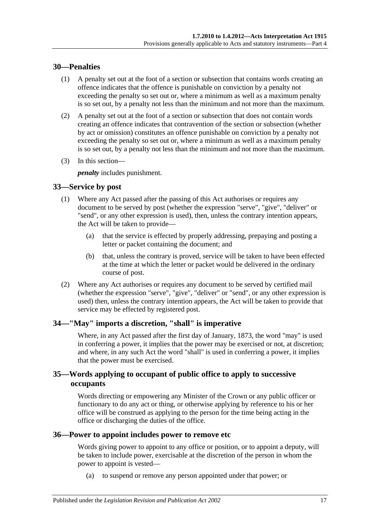### <span id="page-16-0"></span>**30—Penalties**

- (1) A penalty set out at the foot of a section or subsection that contains words creating an offence indicates that the offence is punishable on conviction by a penalty not exceeding the penalty so set out or, where a minimum as well as a maximum penalty is so set out, by a penalty not less than the minimum and not more than the maximum.
- (2) A penalty set out at the foot of a section or subsection that does not contain words creating an offence indicates that contravention of the section or subsection (whether by act or omission) constitutes an offence punishable on conviction by a penalty not exceeding the penalty so set out or, where a minimum as well as a maximum penalty is so set out, by a penalty not less than the minimum and not more than the maximum.
- (3) In this section—

*penalty* includes punishment.

## <span id="page-16-1"></span>**33—Service by post**

- (1) Where any Act passed after the passing of this Act authorises or requires any document to be served by post (whether the expression "serve", "give", "deliver" or "send", or any other expression is used), then, unless the contrary intention appears, the Act will be taken to provide—
	- (a) that the service is effected by properly addressing, prepaying and posting a letter or packet containing the document; and
	- (b) that, unless the contrary is proved, service will be taken to have been effected at the time at which the letter or packet would be delivered in the ordinary course of post.
- (2) Where any Act authorises or requires any document to be served by certified mail (whether the expression "serve", "give", "deliver" or "send", or any other expression is used) then, unless the contrary intention appears, the Act will be taken to provide that service may be effected by registered post.

## <span id="page-16-2"></span>**34—"May" imports a discretion, "shall" is imperative**

Where, in any Act passed after the first day of January, 1873, the word "may" is used in conferring a power, it implies that the power may be exercised or not, at discretion; and where, in any such Act the word "shall" is used in conferring a power, it implies that the power must be exercised.

## <span id="page-16-3"></span>**35—Words applying to occupant of public office to apply to successive occupants**

Words directing or empowering any Minister of the Crown or any public officer or functionary to do any act or thing, or otherwise applying by reference to his or her office will be construed as applying to the person for the time being acting in the office or discharging the duties of the office.

#### <span id="page-16-4"></span>**36—Power to appoint includes power to remove etc**

Words giving power to appoint to any office or position, or to appoint a deputy, will be taken to include power, exercisable at the discretion of the person in whom the power to appoint is vested—

(a) to suspend or remove any person appointed under that power; or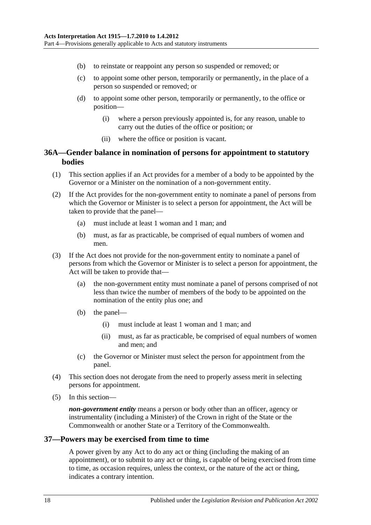- (b) to reinstate or reappoint any person so suspended or removed; or
- (c) to appoint some other person, temporarily or permanently, in the place of a person so suspended or removed; or
- (d) to appoint some other person, temporarily or permanently, to the office or position—
	- (i) where a person previously appointed is, for any reason, unable to carry out the duties of the office or position; or
	- (ii) where the office or position is vacant.

#### <span id="page-17-0"></span>**36A—Gender balance in nomination of persons for appointment to statutory bodies**

- (1) This section applies if an Act provides for a member of a body to be appointed by the Governor or a Minister on the nomination of a non-government entity.
- (2) If the Act provides for the non-government entity to nominate a panel of persons from which the Governor or Minister is to select a person for appointment, the Act will be taken to provide that the panel—
	- (a) must include at least 1 woman and 1 man; and
	- (b) must, as far as practicable, be comprised of equal numbers of women and men.
- (3) If the Act does not provide for the non-government entity to nominate a panel of persons from which the Governor or Minister is to select a person for appointment, the Act will be taken to provide that-
	- (a) the non-government entity must nominate a panel of persons comprised of not less than twice the number of members of the body to be appointed on the nomination of the entity plus one; and
	- (b) the panel—
		- (i) must include at least 1 woman and 1 man; and
		- (ii) must, as far as practicable, be comprised of equal numbers of women and men; and
	- (c) the Governor or Minister must select the person for appointment from the panel.
- (4) This section does not derogate from the need to properly assess merit in selecting persons for appointment.
- (5) In this section—

*non-government entity* means a person or body other than an officer, agency or instrumentality (including a Minister) of the Crown in right of the State or the Commonwealth or another State or a Territory of the Commonwealth.

#### <span id="page-17-1"></span>**37—Powers may be exercised from time to time**

A power given by any Act to do any act or thing (including the making of an appointment), or to submit to any act or thing, is capable of being exercised from time to time, as occasion requires, unless the context, or the nature of the act or thing, indicates a contrary intention.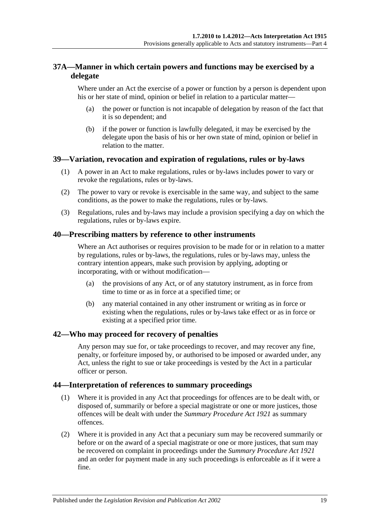## <span id="page-18-0"></span>**37A—Manner in which certain powers and functions may be exercised by a delegate**

Where under an Act the exercise of a power or function by a person is dependent upon his or her state of mind, opinion or belief in relation to a particular matter—

- (a) the power or function is not incapable of delegation by reason of the fact that it is so dependent; and
- (b) if the power or function is lawfully delegated, it may be exercised by the delegate upon the basis of his or her own state of mind, opinion or belief in relation to the matter.

#### <span id="page-18-1"></span>**39—Variation, revocation and expiration of regulations, rules or by-laws**

- (1) A power in an Act to make regulations, rules or by-laws includes power to vary or revoke the regulations, rules or by-laws.
- (2) The power to vary or revoke is exercisable in the same way, and subject to the same conditions, as the power to make the regulations, rules or by-laws.
- (3) Regulations, rules and by-laws may include a provision specifying a day on which the regulations, rules or by-laws expire.

#### <span id="page-18-2"></span>**40—Prescribing matters by reference to other instruments**

Where an Act authorises or requires provision to be made for or in relation to a matter by regulations, rules or by-laws, the regulations, rules or by-laws may, unless the contrary intention appears, make such provision by applying, adopting or incorporating, with or without modification—

- (a) the provisions of any Act, or of any statutory instrument, as in force from time to time or as in force at a specified time; or
- (b) any material contained in any other instrument or writing as in force or existing when the regulations, rules or by-laws take effect or as in force or existing at a specified prior time.

#### <span id="page-18-3"></span>**42—Who may proceed for recovery of penalties**

Any person may sue for, or take proceedings to recover, and may recover any fine, penalty, or forfeiture imposed by, or authorised to be imposed or awarded under, any Act, unless the right to sue or take proceedings is vested by the Act in a particular officer or person.

#### <span id="page-18-4"></span>**44—Interpretation of references to summary proceedings**

- (1) Where it is provided in any Act that proceedings for offences are to be dealt with, or disposed of, summarily or before a special magistrate or one or more justices, those offences will be dealt with under the *[Summary Procedure Act](http://www.legislation.sa.gov.au/index.aspx?action=legref&type=act&legtitle=Summary%20Procedure%20Act%201921) 1921* as summary offences.
- (2) Where it is provided in any Act that a pecuniary sum may be recovered summarily or before or on the award of a special magistrate or one or more justices, that sum may be recovered on complaint in proceedings under the *[Summary Procedure Act](http://www.legislation.sa.gov.au/index.aspx?action=legref&type=act&legtitle=Summary%20Procedure%20Act%201921) 1921* and an order for payment made in any such proceedings is enforceable as if it were a fine.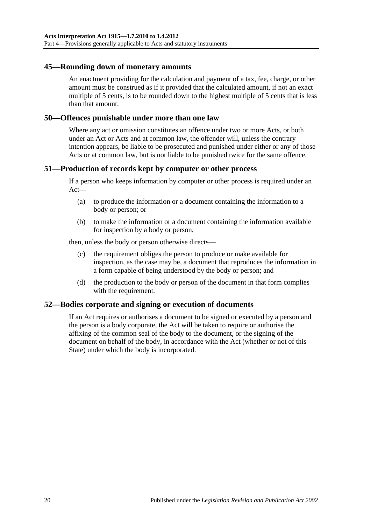#### <span id="page-19-0"></span>**45—Rounding down of monetary amounts**

An enactment providing for the calculation and payment of a tax, fee, charge, or other amount must be construed as if it provided that the calculated amount, if not an exact multiple of 5 cents, is to be rounded down to the highest multiple of 5 cents that is less than that amount.

#### <span id="page-19-1"></span>**50—Offences punishable under more than one law**

Where any act or omission constitutes an offence under two or more Acts, or both under an Act or Acts and at common law, the offender will, unless the contrary intention appears, be liable to be prosecuted and punished under either or any of those Acts or at common law, but is not liable to be punished twice for the same offence.

#### <span id="page-19-2"></span>**51—Production of records kept by computer or other process**

If a person who keeps information by computer or other process is required under an Act—

- (a) to produce the information or a document containing the information to a body or person; or
- (b) to make the information or a document containing the information available for inspection by a body or person,

then, unless the body or person otherwise directs—

- (c) the requirement obliges the person to produce or make available for inspection, as the case may be, a document that reproduces the information in a form capable of being understood by the body or person; and
- (d) the production to the body or person of the document in that form complies with the requirement.

#### <span id="page-19-3"></span>**52—Bodies corporate and signing or execution of documents**

If an Act requires or authorises a document to be signed or executed by a person and the person is a body corporate, the Act will be taken to require or authorise the affixing of the common seal of the body to the document, or the signing of the document on behalf of the body, in accordance with the Act (whether or not of this State) under which the body is incorporated.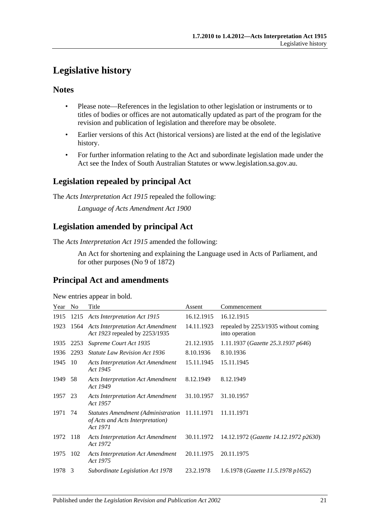## <span id="page-20-0"></span>**Legislative history**

## **Notes**

- Please note—References in the legislation to other legislation or instruments or to titles of bodies or offices are not automatically updated as part of the program for the revision and publication of legislation and therefore may be obsolete.
- Earlier versions of this Act (historical versions) are listed at the end of the legislative history.
- For further information relating to the Act and subordinate legislation made under the Act see the Index of South Australian Statutes or www.legislation.sa.gov.au.

## **Legislation repealed by principal Act**

The *Acts Interpretation Act 1915* repealed the following:

*Language of Acts Amendment Act 1900*

## **Legislation amended by principal Act**

The *Acts Interpretation Act 1915* amended the following:

An Act for shortening and explaining the Language used in Acts of Parliament, and for other purposes (No 9 of 1872)

## **Principal Act and amendments**

New entries appear in bold.

| Year    | No.  | Title                                                                                     | Assent     | Commencement                                           |
|---------|------|-------------------------------------------------------------------------------------------|------------|--------------------------------------------------------|
| 1915    | 1215 | <b>Acts Interpretation Act 1915</b>                                                       | 16.12.1915 | 16.12.1915                                             |
| 1923    |      | 1564 Acts Interpretation Act Amendment<br>Act 1923 repealed by 2253/1935                  | 14.11.1923 | repealed by 2253/1935 without coming<br>into operation |
| 1935    | 2253 | Supreme Court Act 1935                                                                    | 21.12.1935 | 1.11.1937 (Gazette 25.3.1937 p646)                     |
| 1936    | 2293 | <i>Statute Law Revision Act 1936</i>                                                      | 8.10.1936  | 8.10.1936                                              |
| 1945    | 10   | <b>Acts Interpretation Act Amendment</b><br>Act 1945                                      | 15.11.1945 | 15.11.1945                                             |
| 1949    | 58   | <b>Acts Interpretation Act Amendment</b><br>Act 1949                                      | 8.12.1949  | 8.12.1949                                              |
| 1957 23 |      | <b>Acts Interpretation Act Amendment</b><br>Act 1957                                      | 31.10.1957 | 31.10.1957                                             |
| 1971    | 74   | <b>Statutes Amendment (Administration</b><br>of Acts and Acts Interpretation)<br>Act 1971 | 11.11.1971 | 11.11.1971                                             |
| 1972    | -118 | <b>Acts Interpretation Act Amendment</b><br>Act 1972                                      | 30.11.1972 | 14.12.1972 (Gazette 14.12.1972 p2630)                  |
| 1975    | 102  | <b>Acts Interpretation Act Amendment</b><br>Act 1975                                      | 20.11.1975 | 20.11.1975                                             |
| 1978    | 3    | Subordinate Legislation Act 1978                                                          | 23.2.1978  | 1.6.1978 (Gazette 11.5.1978 p1652)                     |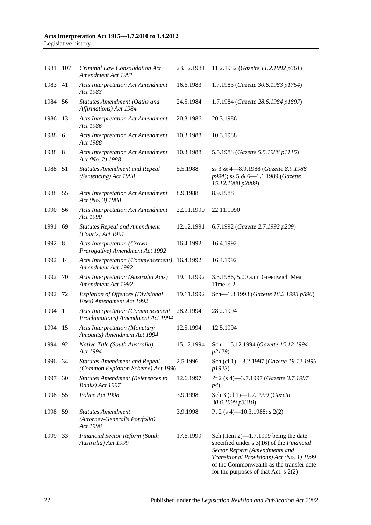#### **Acts Interpretation Act 1915—1.7.2010 to 1.4.2012** Legislative history

| 1981    | 107  | Criminal Law Consolidation Act<br>Amendment Act 1981                          | 23.12.1981 | 11.2.1982 (Gazette 11.2.1982 p361)                                                                                                                                                                                                                      |
|---------|------|-------------------------------------------------------------------------------|------------|---------------------------------------------------------------------------------------------------------------------------------------------------------------------------------------------------------------------------------------------------------|
| 1983    | 41   | <b>Acts Interpretation Act Amendment</b><br>Act 1983                          | 16.6.1983  | 1.7.1983 (Gazette 30.6.1983 p1754)                                                                                                                                                                                                                      |
| 1984    | - 56 | Statutes Amendment (Oaths and<br>Affirmations) Act 1984                       | 24.5.1984  | 1.7.1984 (Gazette 28.6.1984 p1897)                                                                                                                                                                                                                      |
| 1986    | 13   | <b>Acts Interpretation Act Amendment</b><br>Act 1986                          | 20.3.1986  | 20.3.1986                                                                                                                                                                                                                                               |
| 1988 6  |      | <b>Acts Interpretation Act Amendment</b><br>Act 1988                          | 10.3.1988  | 10.3.1988                                                                                                                                                                                                                                               |
| 1988    | 8    | <b>Acts Interpretation Act Amendment</b><br>Act (No. 2) 1988                  | 10.3.1988  | 5.5.1988 (Gazette 5.5.1988 p1115)                                                                                                                                                                                                                       |
| 1988 51 |      | <b>Statutes Amendment and Repeal</b><br>(Sentencing) Act 1988                 | 5.5.1988   | ss 3 & 4-8.9.1988 (Gazette 8.9.1988)<br>p994); ss 5 & 6-1.1.1989 (Gazette<br>15.12.1988 p2009)                                                                                                                                                          |
| 1988    | 55   | <b>Acts Interpretation Act Amendment</b><br>Act (No. 3) 1988                  | 8.9.1988   | 8.9.1988                                                                                                                                                                                                                                                |
| 1990    | - 56 | <b>Acts Interpretation Act Amendment</b><br>Act 1990                          | 22.11.1990 | 22.11.1990                                                                                                                                                                                                                                              |
| 1991    | 69   | <b>Statutes Repeal and Amendment</b><br>$(Courts)$ Act 1991                   | 12.12.1991 | 6.7.1992 (Gazette 2.7.1992 p209)                                                                                                                                                                                                                        |
| 1992 8  |      | <b>Acts Interpretation (Crown</b><br>Prerogative) Amendment Act 1992          | 16.4.1992  | 16.4.1992                                                                                                                                                                                                                                               |
| 1992    | -14  | <b>Acts Interpretation (Commencement)</b><br>Amendment Act 1992               | 16.4.1992  | 16.4.1992                                                                                                                                                                                                                                               |
| 1992    | 70   | Acts Interpretation (Australia Acts)<br>Amendment Act 1992                    | 19.11.1992 | 3.3.1986, 5.00 a.m. Greenwich Mean<br>Time: s 2                                                                                                                                                                                                         |
| 1992    | 72   | <b>Expiation of Offences (Divisional</b><br>Fees) Amendment Act 1992          | 19.11.1992 | Sch-1.3.1993 (Gazette 18.2.1993 p596)                                                                                                                                                                                                                   |
| 1994 1  |      | <b>Acts Interpretation (Commencement</b><br>Proclamations) Amendment Act 1994 | 28.2.1994  | 28.2.1994                                                                                                                                                                                                                                               |
| 1994    | -15  | <b>Acts Interpretation (Monetary</b><br>Amounts) Amendment Act 1994           | 12.5.1994  | 12.5.1994                                                                                                                                                                                                                                               |
| 1994 92 |      | Native Title (South Australia)<br>Act 1994                                    | 15.12.1994 | Sch-15.12.1994 (Gazette 15.12.1994<br>p2129)                                                                                                                                                                                                            |
| 1996    | 34   | <b>Statutes Amendment and Repeal</b><br>(Common Expiation Scheme) Act 1996    | 2.5.1996   | Sch (cl 1)-3.2.1997 (Gazette 19.12.1996<br>p1923)                                                                                                                                                                                                       |
| 1997    | 30   | <b>Statutes Amendment (References to</b><br>Banks) Act 1997                   | 12.6.1997  | Pt 2 (s 4)-3.7.1997 (Gazette 3.7.1997<br><i>p4</i> )                                                                                                                                                                                                    |
| 1998    | 55   | Police Act 1998                                                               | 3.9.1998   | Sch 3 (cl 1)-1.7.1999 (Gazette<br>30.6.1999 p3310)                                                                                                                                                                                                      |
| 1998    | 59   | <b>Statutes Amendment</b><br>(Attorney-General's Portfolio)<br>Act 1998       | 3.9.1998   | Pt 2 (s 4)—10.3.1988: s 2(2)                                                                                                                                                                                                                            |
| 1999    | 33   | <b>Financial Sector Reform (South</b><br>Australia) Act 1999                  | 17.6.1999  | Sch (item $2$ )—1.7.1999 being the date<br>specified under s 3(16) of the Financial<br>Sector Reform (Amendments and<br>Transitional Provisions) Act (No. 1) 1999<br>of the Commonwealth as the transfer date<br>for the purposes of that Act: $s$ 2(2) |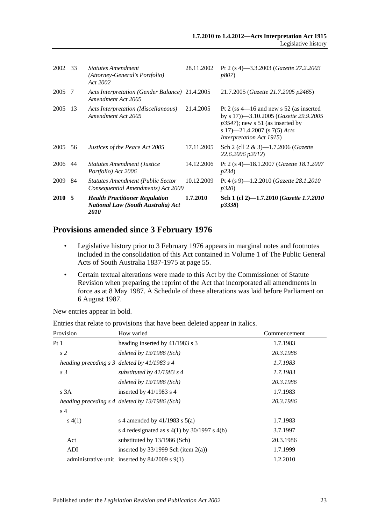| 2002 33 |     | <b>Statutes Amendment</b><br>(Attorney-General's Portfolio)<br>Act 2002                    | 28.11.2002 | Pt 2 (s 4)-3.3.2003 (Gazette 27.2.2003<br><i>p807</i> )                                                                                                                                       |
|---------|-----|--------------------------------------------------------------------------------------------|------------|-----------------------------------------------------------------------------------------------------------------------------------------------------------------------------------------------|
| 2005    | -7  | Acts Interpretation (Gender Balance) 21.4.2005<br>Amendment Act 2005                       |            | 21.7.2005 (Gazette 21.7.2005 p2465)                                                                                                                                                           |
| 2005    | 13  | Acts Interpretation (Miscellaneous)<br>Amendment Act 2005                                  | 21.4.2005  | Pt 2 (ss $4-16$ and new s 52 (as inserted<br>by s 17) -3.10.2005 (Gazette 29.9.2005<br>$p3547$ ; new s 51 (as inserted by<br>s 17)—21.4.2007 (s 7(5) Acts<br><i>Interpretation Act 1915</i> ) |
| 2005    | 56  | Justices of the Peace Act 2005                                                             | 17.11.2005 | Sch 2 (cll $2 \& 3$ )-1.7.2006 ( <i>Gazette</i><br>22.6.2006 p2012)                                                                                                                           |
| 2006    | -44 | <b>Statutes Amendment (Justice</b><br>Portfolio) Act 2006                                  | 14.12.2006 | Pt 2 (s 4)—18.1.2007 ( <i>Gazette 18.1.2007</i><br><i>p</i> 234)                                                                                                                              |
| 2009    | -84 | <b>Statutes Amendment (Public Sector</b><br>Consequential Amendments) Act 2009             | 10.12.2009 | Pt 4 (s 9)-1.2.2010 (Gazette 28.1.2010<br><i>p320</i> )                                                                                                                                       |
| 2010 5  |     | <b>Health Practitioner Regulation</b><br><b>National Law (South Australia) Act</b><br>2010 | 1.7.2010   | Sch 1 (cl 2)–1.7.2010 ( <i>Gazette 1.7.2010</i><br>p3338                                                                                                                                      |

## **Provisions amended since 3 February 1976**

- Legislative history prior to 3 February 1976 appears in marginal notes and footnotes included in the consolidation of this Act contained in Volume 1 of The Public General Acts of South Australia 1837-1975 at page 55.
- Certain textual alterations were made to this Act by the Commissioner of Statute Revision when preparing the reprint of the Act that incorporated all amendments in force as at 8 May 1987. A Schedule of these alterations was laid before Parliament on 6 August 1987.

New entries appear in bold.

| Provision      | How varied                                         | Commencement |
|----------------|----------------------------------------------------|--------------|
| Pt 1           | heading inserted by 41/1983 s 3                    | 1.7.1983     |
| s <sub>2</sub> | deleted by $13/1986$ (Sch)                         | 20.3.1986    |
|                | heading preceding $s \, 3$ deleted by 41/1983 s 4  | 1.7.1983     |
| s <sub>3</sub> | substituted by $41/1983$ s 4                       | 1.7.1983     |
|                | deleted by $13/1986$ (Sch)                         | 20.3.1986    |
| s3A            | inserted by $41/1983$ s 4                          | 1.7.1983     |
|                | heading preceding s 4 deleted by 13/1986 (Sch)     | 20.3.1986    |
| s 4            |                                                    |              |
| s(4(1))        | s 4 amended by $41/1983$ s $5(a)$                  | 1.7.1983     |
|                | s 4 redesignated as $s$ 4(1) by 30/1997 s 4(b)     | 3.7.1997     |
| Act            | substituted by 13/1986 (Sch)                       | 20.3.1986    |
| ADI            | inserted by $33/1999$ Sch (item 2(a))              | 1.7.1999     |
|                | administrative unit inserted by $84/2009$ s $9(1)$ | 1.2.2010     |

Entries that relate to provisions that have been deleted appear in italics.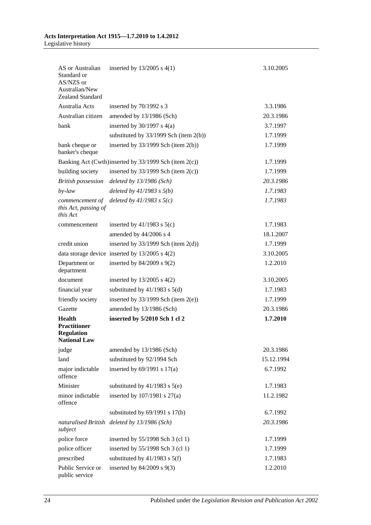#### **Acts Interpretation Act 1915—1.7.2010 to 1.4.2012** Legislative history

| AS or Australian<br>Standard or<br>AS/NZS or<br>Australian/New<br>Zealand Standard | inserted by $13/2005$ s $4(1)$                        | 3.10.2005  |
|------------------------------------------------------------------------------------|-------------------------------------------------------|------------|
| Australia Acts                                                                     | inserted by $70/1992$ s 3                             | 3.3.1986   |
| Australian citizen                                                                 | amended by 13/1986 (Sch)                              | 20.3.1986  |
| bank                                                                               | inserted by $30/1997$ s $4(a)$                        | 3.7.1997   |
|                                                                                    | substituted by $33/1999$ Sch (item 2(b))              | 1.7.1999   |
| bank cheque or<br>banker's cheque                                                  | inserted by $33/1999$ Sch (item $2(b)$ )              | 1.7.1999   |
|                                                                                    | Banking Act (Cwth)inserted by 33/1999 Sch (item 2(c)) | 1.7.1999   |
| building society                                                                   | inserted by $33/1999$ Sch (item $2(c)$ )              | 1.7.1999   |
| <b>British possession</b>                                                          | deleted by $13/1986$ (Sch)                            | 20.3.1986  |
| $by$ -law                                                                          | deleted by $41/1983$ s $5(b)$                         | 1.7.1983   |
| commencement of<br>this Act, passing of<br>this Act                                | deleted by $41/1983$ s $5(c)$                         | 1.7.1983   |
| commencement                                                                       | inserted by $41/1983$ s $5(c)$                        | 1.7.1983   |
|                                                                                    | amended by 44/2006 s 4                                | 18.1.2007  |
| credit union                                                                       | inserted by $33/1999$ Sch (item $2(d)$ )              | 1.7.1999   |
|                                                                                    | data storage device inserted by $13/2005$ s $4(2)$    | 3.10.2005  |
| Department or<br>department                                                        | inserted by $84/2009$ s $9(2)$                        | 1.2.2010   |
| document                                                                           | inserted by $13/2005$ s $4(2)$                        | 3.10.2005  |
| financial year                                                                     | substituted by $41/1983$ s $5(d)$                     | 1.7.1983   |
| friendly society                                                                   | inserted by $33/1999$ Sch (item $2(e)$ )              | 1.7.1999   |
| Gazette                                                                            | amended by 13/1986 (Sch)                              | 20.3.1986  |
| Health<br><b>Practitioner</b><br><b>Regulation</b><br><b>National Law</b>          | inserted by 5/2010 Sch 1 cl 2                         | 1.7.2010   |
| judge                                                                              | amended by 13/1986 (Sch)                              | 20.3.1986  |
| land                                                                               | substituted by 92/1994 Sch                            | 15.12.1994 |
| major indictable<br>offence                                                        | inserted by $69/1991$ s $17(a)$                       | 6.7.1992   |
| Minister                                                                           | substituted by $41/1983$ s $5(e)$                     | 1.7.1983   |
| minor indictable<br>offence                                                        | inserted by $107/1981$ s $27(a)$                      | 11.2.1982  |
|                                                                                    | substituted by $69/1991$ s $17(b)$                    | 6.7.1992   |
| naturalised British<br>subject                                                     | deleted by $13/1986$ (Sch)                            | 20.3.1986  |
| police force                                                                       | inserted by 55/1998 Sch 3 (cl 1)                      | 1.7.1999   |
| police officer                                                                     | inserted by 55/1998 Sch 3 (cl 1)                      | 1.7.1999   |
| prescribed                                                                         | substituted by $41/1983$ s $5(f)$                     | 1.7.1983   |
| Public Service or<br>public service                                                | inserted by 84/2009 s 9(3)                            | 1.2.2010   |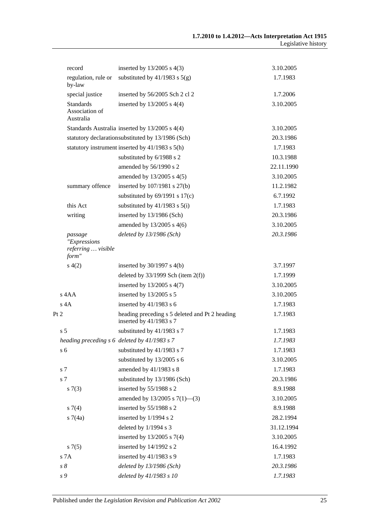|      | record                                                 | inserted by $13/2005$ s $4(3)$                                            | 3.10.2005  |
|------|--------------------------------------------------------|---------------------------------------------------------------------------|------------|
|      | regulation, rule or<br>by-law                          | substituted by $41/1983$ s $5(g)$                                         | 1.7.1983   |
|      | special justice                                        | inserted by 56/2005 Sch 2 cl 2                                            | 1.7.2006   |
|      | <b>Standards</b><br>Association of<br>Australia        | inserted by $13/2005$ s $4(4)$                                            | 3.10.2005  |
|      |                                                        | Standards Australia inserted by 13/2005 s 4(4)                            | 3.10.2005  |
|      |                                                        | statutory declarationsubstituted by 13/1986 (Sch)                         | 20.3.1986  |
|      |                                                        | statutory instrument inserted by 41/1983 s 5(h)                           | 1.7.1983   |
|      |                                                        | substituted by 6/1988 s 2                                                 | 10.3.1988  |
|      |                                                        | amended by 56/1990 s 2                                                    | 22.11.1990 |
|      |                                                        | amended by 13/2005 s 4(5)                                                 | 3.10.2005  |
|      | summary offence                                        | inserted by 107/1981 s 27(b)                                              | 11.2.1982  |
|      |                                                        | substituted by $69/1991$ s $17(c)$                                        | 6.7.1992   |
|      | this Act                                               | substituted by $41/1983$ s $5(i)$                                         | 1.7.1983   |
|      | writing                                                | inserted by 13/1986 (Sch)                                                 | 20.3.1986  |
|      |                                                        | amended by $13/2005$ s 4(6)                                               | 3.10.2005  |
|      | passage<br>"Expressions<br>referring  visible<br>form" | deleted by $13/1986$ (Sch)                                                | 20.3.1986  |
|      | s(4(2)                                                 | inserted by $30/1997$ s $4(b)$                                            | 3.7.1997   |
|      |                                                        | deleted by $33/1999$ Sch (item $2(f)$ )                                   | 1.7.1999   |
|      |                                                        | inserted by $13/2005$ s $4(7)$                                            | 3.10.2005  |
|      | s 4AA                                                  | inserted by $13/2005$ s 5                                                 | 3.10.2005  |
|      | $s$ 4A                                                 | inserted by $41/1983$ s 6                                                 | 1.7.1983   |
| Pt 2 |                                                        | heading preceding s 5 deleted and Pt 2 heading<br>inserted by 41/1983 s 7 | 1.7.1983   |
|      | s <sub>5</sub>                                         | substituted by 41/1983 s 7                                                | 1.7.1983   |
|      |                                                        | heading preceding s 6 deleted by 41/1983 s 7                              | 1.7.1983   |
|      | s <sub>6</sub>                                         | substituted by 41/1983 s 7                                                | 1.7.1983   |
|      |                                                        | substituted by 13/2005 s 6                                                | 3.10.2005  |
|      | s 7                                                    | amended by 41/1983 s 8                                                    | 1.7.1983   |
|      | s 7                                                    | substituted by 13/1986 (Sch)                                              | 20.3.1986  |
|      | s(7(3))                                                | inserted by 55/1988 s 2                                                   | 8.9.1988   |
|      |                                                        | amended by $13/2005$ s $7(1)$ —(3)                                        | 3.10.2005  |
|      | $s \, 7(4)$                                            | inserted by 55/1988 s 2                                                   | 8.9.1988   |
|      | s7(4a)                                                 | inserted by 1/1994 s 2                                                    | 28.2.1994  |
|      |                                                        | deleted by 1/1994 s 3                                                     | 31.12.1994 |
|      |                                                        | inserted by 13/2005 s 7(4)                                                | 3.10.2005  |
|      | s7(5)                                                  | inserted by 14/1992 s 2                                                   | 16.4.1992  |
|      | s 7A                                                   | inserted by $41/1983$ s 9                                                 | 1.7.1983   |
|      | $s\,8$                                                 | deleted by 13/1986 (Sch)                                                  | 20.3.1986  |
|      | s 9                                                    | deleted by 41/1983 s 10                                                   | 1.7.1983   |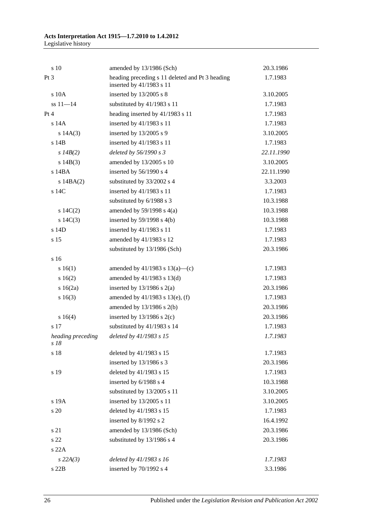| s 10                      | amended by 13/1986 (Sch)                                                    | 20.3.1986  |
|---------------------------|-----------------------------------------------------------------------------|------------|
| Pt 3                      | heading preceding s 11 deleted and Pt 3 heading<br>inserted by 41/1983 s 11 | 1.7.1983   |
| s 10A                     | inserted by $13/2005$ s 8                                                   | 3.10.2005  |
| $ss 11 - 14$              | substituted by 41/1983 s 11                                                 | 1.7.1983   |
| Pt 4                      | heading inserted by 41/1983 s 11                                            | 1.7.1983   |
| $s$ 14 $A$                | inserted by 41/1983 s 11                                                    | 1.7.1983   |
| s 14A(3)                  | inserted by 13/2005 s 9                                                     | 3.10.2005  |
| s 14B                     | inserted by 41/1983 s 11                                                    | 1.7.1983   |
| s $14B(2)$                | deleted by 56/1990 s 3                                                      | 22.11.1990 |
| s $14B(3)$                | amended by 13/2005 s 10                                                     | 3.10.2005  |
| s 14BA                    | inserted by 56/1990 s 4                                                     | 22.11.1990 |
| $s$ 14BA $(2)$            | substituted by 33/2002 s 4                                                  | 3.3.2003   |
| s 14C                     | inserted by 41/1983 s 11                                                    | 1.7.1983   |
|                           | substituted by 6/1988 s 3                                                   | 10.3.1988  |
| 14C(2)                    | amended by $59/1998$ s $4(a)$                                               | 10.3.1988  |
| s $14C(3)$                | inserted by $59/1998$ s $4(b)$                                              | 10.3.1988  |
| s 14D                     | inserted by 41/1983 s 11                                                    | 1.7.1983   |
| s 15                      | amended by 41/1983 s 12                                                     | 1.7.1983   |
|                           | substituted by 13/1986 (Sch)                                                | 20.3.1986  |
| s <sub>16</sub>           |                                                                             |            |
| s 16(1)                   | amended by $41/1983$ s $13(a)$ —(c)                                         | 1.7.1983   |
| s16(2)                    | amended by $41/1983$ s $13(d)$                                              | 1.7.1983   |
| $s \ 16(2a)$              | inserted by $13/1986$ s $2(a)$                                              | 20.3.1986  |
| s16(3)                    | amended by $41/1983$ s $13(e)$ , (f)                                        | 1.7.1983   |
|                           | amended by 13/1986 s 2(b)                                                   | 20.3.1986  |
| s 16(4)                   | inserted by $13/1986$ s $2(c)$                                              | 20.3.1986  |
| s 17                      | substituted by 41/1983 s 14                                                 | 1.7.1983   |
| heading preceding<br>s 18 | deleted by 41/1983 s 15                                                     | 1.7.1983   |
| s 18                      | deleted by 41/1983 s 15                                                     | 1.7.1983   |
|                           | inserted by 13/1986 s 3                                                     | 20.3.1986  |
| s 19                      | deleted by 41/1983 s 15                                                     | 1.7.1983   |
|                           | inserted by 6/1988 s 4                                                      | 10.3.1988  |
|                           | substituted by 13/2005 s 11                                                 | 3.10.2005  |
| s 19A                     | inserted by 13/2005 s 11                                                    | 3.10.2005  |
| s 20                      | deleted by 41/1983 s 15                                                     | 1.7.1983   |
|                           | inserted by 8/1992 s 2                                                      | 16.4.1992  |
| s 21                      | amended by 13/1986 (Sch)                                                    | 20.3.1986  |
| s 22                      | substituted by 13/1986 s 4                                                  | 20.3.1986  |
| s 22A                     |                                                                             |            |
| $s$ 22A(3)                | deleted by 41/1983 s 16                                                     | 1.7.1983   |
| s 22B                     | inserted by 70/1992 s 4                                                     | 3.3.1986   |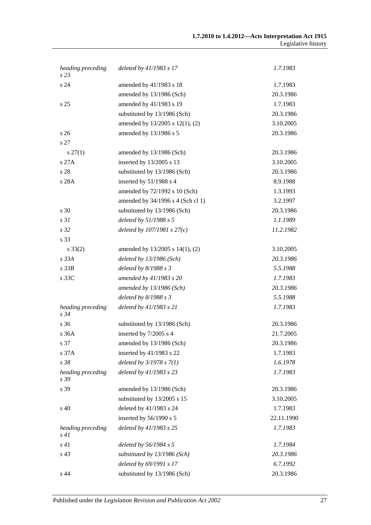| heading preceding<br>s <sub>23</sub> | deleted by 41/1983 s 17           | 1.7.1983   |
|--------------------------------------|-----------------------------------|------------|
| s 24                                 | amended by 41/1983 s 18           | 1.7.1983   |
|                                      | amended by 13/1986 (Sch)          | 20.3.1986  |
| s <sub>25</sub>                      | amended by 41/1983 s 19           | 1.7.1983   |
|                                      | substituted by 13/1986 (Sch)      | 20.3.1986  |
|                                      | amended by 13/2005 s 12(1), (2)   | 3.10.2005  |
| s <sub>26</sub>                      | amended by 13/1986 s 5            | 20.3.1986  |
| s 27                                 |                                   |            |
| $s\,27(1)$                           | amended by 13/1986 (Sch)          | 20.3.1986  |
| s27A                                 | inserted by 13/2005 s 13          | 3.10.2005  |
| s 28                                 | substituted by 13/1986 (Sch)      | 20.3.1986  |
| s 28A                                | inserted by 51/1988 s 4           | 8.9.1988   |
|                                      | amended by 72/1992 s 10 (Sch)     | 1.3.1993   |
|                                      | amended by 34/1996 s 4 (Sch cl 1) | 3.2.1997   |
| s 30                                 | substituted by 13/1986 (Sch)      | 20.3.1986  |
| s <sub>31</sub>                      | deleted by 51/1988 s 5            | 1.1.1989   |
| s <sub>32</sub>                      | deleted by $107/1981 s 27(c)$     | 11.2.1982  |
| s 33                                 |                                   |            |
| $s \, 33(2)$                         | amended by 13/2005 s 14(1), (2)   | 3.10.2005  |
| $s$ 33 $A$                           | deleted by $13/1986$ (Sch)        | 20.3.1986  |
| $s\,33B$                             | deleted by $8/1988 s 3$           | 5.5.1988   |
| $s\,33C$                             | amended by 41/1983 s 20           | 1.7.1983   |
|                                      | amended by 13/1986 (Sch)          | 20.3.1986  |
|                                      | deleted by $8/1988 s 3$           | 5.5.1988   |
| heading preceding<br>s 34            | deleted by 41/1983 s 21           | 1.7.1983   |
| s 36                                 | substituted by 13/1986 (Sch)      | 20.3.1986  |
| s 36A                                | inserted by 7/2005 s 4            | 21.7.2005  |
| s 37                                 | amended by 13/1986 (Sch)          | 20.3.1986  |
| s 37A                                | inserted by 41/1983 s 22          | 1.7.1983   |
| s 38                                 | deleted by $3/1978 s 7(1)$        | 1.6.1978   |
| heading preceding<br>s 39            | deleted by 41/1983 s 23           | 1.7.1983   |
| s 39                                 | amended by 13/1986 (Sch)          | 20.3.1986  |
|                                      | substituted by 13/2005 s 15       | 3.10.2005  |
| s 40                                 | deleted by 41/1983 s 24           | 1.7.1983   |
|                                      | inserted by 56/1990 s 5           | 22.11.1990 |
| heading preceding<br>s41             | deleted by 41/1983 s 25           | 1.7.1983   |
| s41                                  | deleted by 56/1984 s 5            | 1.7.1984   |
| $s\,43$                              | substituted by 13/1986 (Sch)      | 20.3.1986  |
|                                      | deleted by 69/1991 s 17           | 6.7.1992   |
| s 44                                 | substituted by 13/1986 (Sch)      | 20.3.1986  |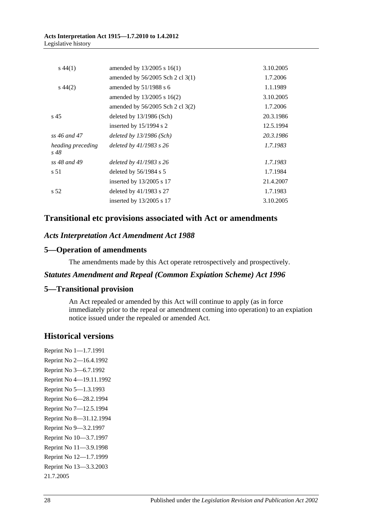#### **Acts Interpretation Act 1915—1.7.2010 to 1.4.2012** Legislative history

| $s\,44(1)$                | amended by $13/2005$ s $16(1)$     | 3.10.2005 |
|---------------------------|------------------------------------|-----------|
|                           | amended by $56/2005$ Sch 2 cl 3(1) | 1.7.2006  |
| $s\,44(2)$                | amended by $51/1988$ s 6           | 1.1.1989  |
|                           | amended by $13/2005$ s $16(2)$     | 3.10.2005 |
|                           | amended by $56/2005$ Sch 2 cl 3(2) | 1.7.2006  |
| s <sub>45</sub>           | deleted by $13/1986$ (Sch)         | 20.3.1986 |
|                           | inserted by $15/1994$ s 2          | 12.5.1994 |
| ss 46 and 47              | deleted by $13/1986$ (Sch)         | 20.3.1986 |
| heading preceding<br>s 48 | deleted by $41/1983$ s $26$        | 1.7.1983  |
| ss 48 and 49              | deleted by $41/1983$ s $26$        | 1.7.1983  |
| s 51                      | deleted by $56/1984$ s 5           | 1.7.1984  |
|                           | inserted by $13/2005$ s 17         | 21.4.2007 |
| s 52                      | deleted by $41/1983$ s 27          | 1.7.1983  |
|                           | inserted by $13/2005$ s 17         | 3.10.2005 |

## **Transitional etc provisions associated with Act or amendments**

## *Acts Interpretation Act Amendment Act 1988*

#### **5—Operation of amendments**

The amendments made by this Act operate retrospectively and prospectively.

#### *Statutes Amendment and Repeal (Common Expiation Scheme) Act 1996*

## **5—Transitional provision**

An Act repealed or amended by this Act will continue to apply (as in force immediately prior to the repeal or amendment coming into operation) to an expiation notice issued under the repealed or amended Act.

## **Historical versions**

Reprint No 1—1.7.1991 Reprint No 2—16.4.1992 Reprint No 3—6.7.1992 Reprint No 4—19.11.1992 Reprint No 5—1.3.1993 Reprint No 6—28.2.1994 Reprint No 7—12.5.1994 Reprint No 8—31.12.1994 Reprint No 9—3.2.1997 Reprint No 10—3.7.1997 Reprint No 11—3.9.1998 Reprint No 12—1.7.1999 Reprint No 13—3.3.2003 21.7.2005